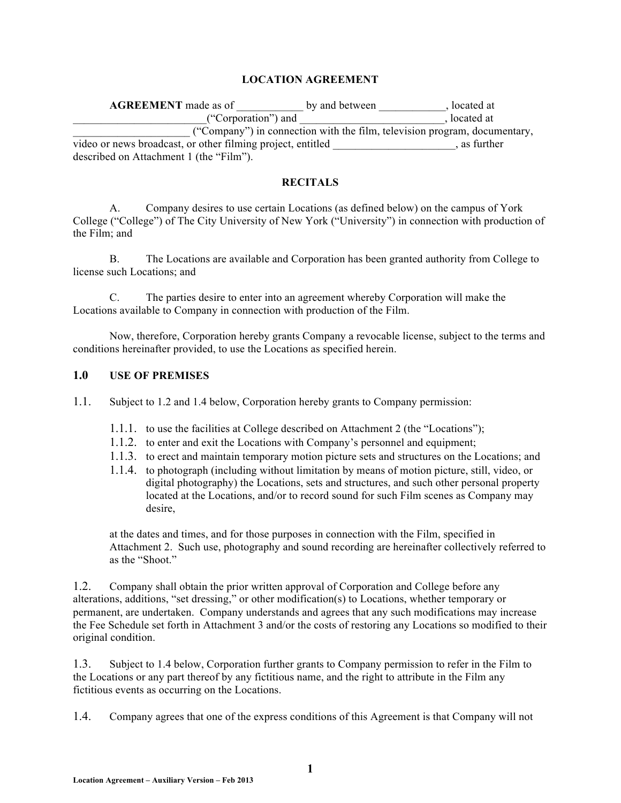#### **LOCATION AGREEMENT**

| <b>AGREEMENT</b> made as of                                 | by and between | located at                                                                |
|-------------------------------------------------------------|----------------|---------------------------------------------------------------------------|
| ("Corporation") and                                         |                | olocated at                                                               |
|                                                             |                | ("Company") in connection with the film, television program, documentary, |
| video or news broadcast, or other filming project, entitled |                | as further                                                                |
| described on Attachment 1 (the "Film").                     |                |                                                                           |

#### **RECITALS**

A. Company desires to use certain Locations (as defined below) on the campus of York College ("College") of The City University of New York ("University") in connection with production of the Film; and

B. The Locations are available and Corporation has been granted authority from College to license such Locations; and

C. The parties desire to enter into an agreement whereby Corporation will make the Locations available to Company in connection with production of the Film.

Now, therefore, Corporation hereby grants Company a revocable license, subject to the terms and conditions hereinafter provided, to use the Locations as specified herein.

### **1.0 USE OF PREMISES**

1.1. Subject to 1.2 and 1.4 below, Corporation hereby grants to Company permission:

- 1.1.1. to use the facilities at College described on Attachment 2 (the "Locations");
- 1.1.2. to enter and exit the Locations with Company's personnel and equipment;
- 1.1.3. to erect and maintain temporary motion picture sets and structures on the Locations; and
- 1.1.4. to photograph (including without limitation by means of motion picture, still, video, or digital photography) the Locations, sets and structures, and such other personal property located at the Locations, and/or to record sound for such Film scenes as Company may desire,

at the dates and times, and for those purposes in connection with the Film, specified in Attachment 2. Such use, photography and sound recording are hereinafter collectively referred to as the "Shoot."

1.2. Company shall obtain the prior written approval of Corporation and College before any alterations, additions, "set dressing," or other modification(s) to Locations, whether temporary or permanent, are undertaken. Company understands and agrees that any such modifications may increase the Fee Schedule set forth in Attachment 3 and/or the costs of restoring any Locations so modified to their original condition.

1.3. Subject to 1.4 below, Corporation further grants to Company permission to refer in the Film to the Locations or any part thereof by any fictitious name, and the right to attribute in the Film any fictitious events as occurring on the Locations.

1.4. Company agrees that one of the express conditions of this Agreement is that Company will not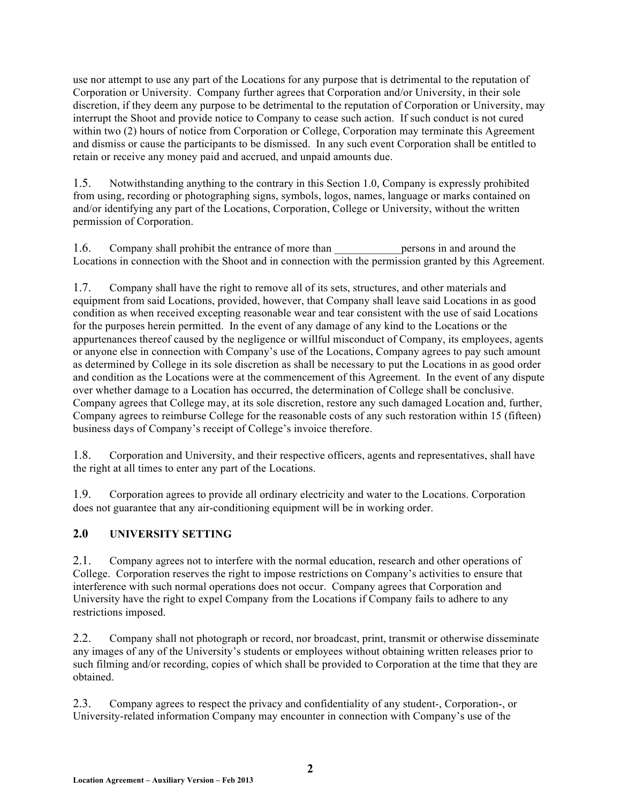use nor attempt to use any part of the Locations for any purpose that is detrimental to the reputation of Corporation or University. Company further agrees that Corporation and/or University, in their sole discretion, if they deem any purpose to be detrimental to the reputation of Corporation or University, may interrupt the Shoot and provide notice to Company to cease such action. If such conduct is not cured within two (2) hours of notice from Corporation or College, Corporation may terminate this Agreement and dismiss or cause the participants to be dismissed. In any such event Corporation shall be entitled to retain or receive any money paid and accrued, and unpaid amounts due.

1.5. Notwithstanding anything to the contrary in this Section 1.0, Company is expressly prohibited from using, recording or photographing signs, symbols, logos, names, language or marks contained on and/or identifying any part of the Locations, Corporation, College or University, without the written permission of Corporation.

1.6. Company shall prohibit the entrance of more than the persons in and around the Locations in connection with the Shoot and in connection with the permission granted by this Agreement.

1.7. Company shall have the right to remove all of its sets, structures, and other materials and equipment from said Locations, provided, however, that Company shall leave said Locations in as good condition as when received excepting reasonable wear and tear consistent with the use of said Locations for the purposes herein permitted. In the event of any damage of any kind to the Locations or the appurtenances thereof caused by the negligence or willful misconduct of Company, its employees, agents or anyone else in connection with Company's use of the Locations, Company agrees to pay such amount as determined by College in its sole discretion as shall be necessary to put the Locations in as good order and condition as the Locations were at the commencement of this Agreement. In the event of any dispute over whether damage to a Location has occurred, the determination of College shall be conclusive. Company agrees that College may, at its sole discretion, restore any such damaged Location and, further, Company agrees to reimburse College for the reasonable costs of any such restoration within 15 (fifteen) business days of Company's receipt of College's invoice therefore.

1.8. Corporation and University, and their respective officers, agents and representatives, shall have the right at all times to enter any part of the Locations.

1.9. Corporation agrees to provide all ordinary electricity and water to the Locations. Corporation does not guarantee that any air-conditioning equipment will be in working order.

### **2.0 UNIVERSITY SETTING**

2.1. Company agrees not to interfere with the normal education, research and other operations of College. Corporation reserves the right to impose restrictions on Company's activities to ensure that interference with such normal operations does not occur. Company agrees that Corporation and University have the right to expel Company from the Locations if Company fails to adhere to any restrictions imposed.

2.2. Company shall not photograph or record, nor broadcast, print, transmit or otherwise disseminate any images of any of the University's students or employees without obtaining written releases prior to such filming and/or recording, copies of which shall be provided to Corporation at the time that they are obtained.

2.3. Company agrees to respect the privacy and confidentiality of any student-, Corporation-, or University-related information Company may encounter in connection with Company's use of the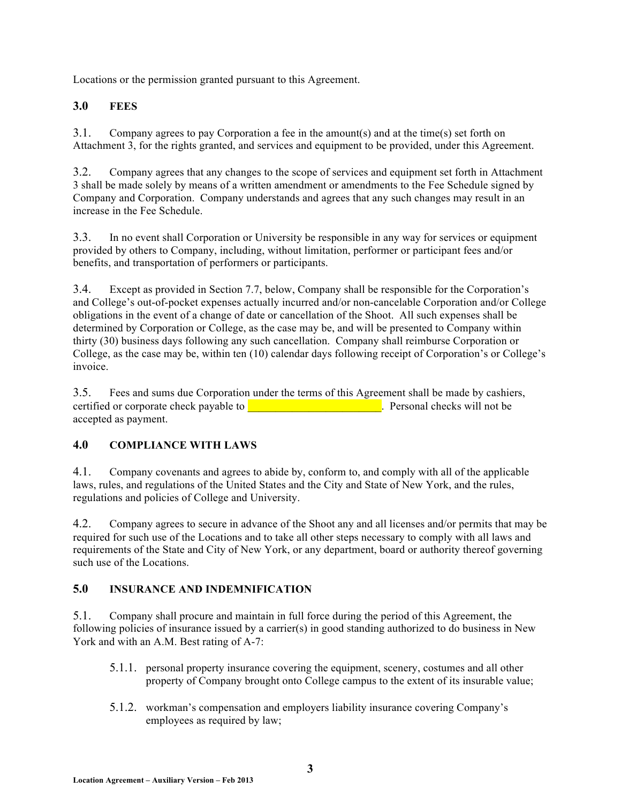Locations or the permission granted pursuant to this Agreement.

## **3.0 FEES**

3.1. Company agrees to pay Corporation a fee in the amount(s) and at the time(s) set forth on Attachment 3, for the rights granted, and services and equipment to be provided, under this Agreement.

3.2. Company agrees that any changes to the scope of services and equipment set forth in Attachment 3 shall be made solely by means of a written amendment or amendments to the Fee Schedule signed by Company and Corporation. Company understands and agrees that any such changes may result in an increase in the Fee Schedule.

3.3. In no event shall Corporation or University be responsible in any way for services or equipment provided by others to Company, including, without limitation, performer or participant fees and/or benefits, and transportation of performers or participants.

3.4. Except as provided in Section 7.7, below, Company shall be responsible for the Corporation's and College's out-of-pocket expenses actually incurred and/or non-cancelable Corporation and/or College obligations in the event of a change of date or cancellation of the Shoot. All such expenses shall be determined by Corporation or College, as the case may be, and will be presented to Company within thirty (30) business days following any such cancellation. Company shall reimburse Corporation or College, as the case may be, within ten (10) calendar days following receipt of Corporation's or College's invoice.

3.5. Fees and sums due Corporation under the terms of this Agreement shall be made by cashiers, certified or corporate check payable to **exercise and contain the container**. Personal checks will not be accepted as payment.

## **4.0 COMPLIANCE WITH LAWS**

4.1. Company covenants and agrees to abide by, conform to, and comply with all of the applicable laws, rules, and regulations of the United States and the City and State of New York, and the rules, regulations and policies of College and University.

4.2. Company agrees to secure in advance of the Shoot any and all licenses and/or permits that may be required for such use of the Locations and to take all other steps necessary to comply with all laws and requirements of the State and City of New York, or any department, board or authority thereof governing such use of the Locations.

### **5.0 INSURANCE AND INDEMNIFICATION**

5.1. Company shall procure and maintain in full force during the period of this Agreement, the following policies of insurance issued by a carrier(s) in good standing authorized to do business in New York and with an A.M. Best rating of A-7:

- 5.1.1. personal property insurance covering the equipment, scenery, costumes and all other property of Company brought onto College campus to the extent of its insurable value;
- 5.1.2. workman's compensation and employers liability insurance covering Company's employees as required by law;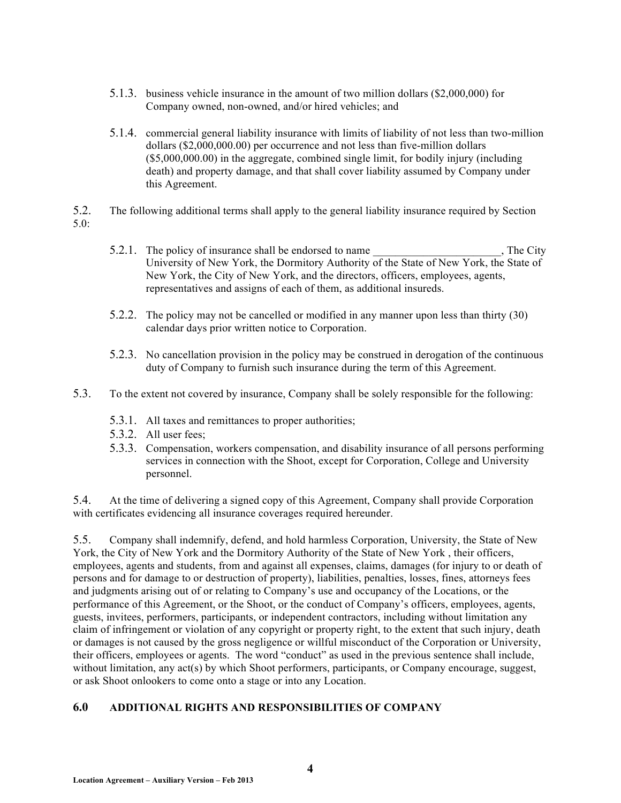- 5.1.3. business vehicle insurance in the amount of two million dollars (\$2,000,000) for Company owned, non-owned, and/or hired vehicles; and
- 5.1.4. commercial general liability insurance with limits of liability of not less than two-million dollars (\$2,000,000.00) per occurrence and not less than five-million dollars (\$5,000,000.00) in the aggregate, combined single limit, for bodily injury (including death) and property damage, and that shall cover liability assumed by Company under this Agreement.
- 5.2. The following additional terms shall apply to the general liability insurance required by Section 5.0:
	- 5.2.1. The policy of insurance shall be endorsed to name  $\qquad \qquad$ , The City University of New York, the Dormitory Authority of the State of New York, the State of New York, the City of New York, and the directors, officers, employees, agents, representatives and assigns of each of them, as additional insureds.
	- 5.2.2. The policy may not be cancelled or modified in any manner upon less than thirty (30) calendar days prior written notice to Corporation.
	- 5.2.3. No cancellation provision in the policy may be construed in derogation of the continuous duty of Company to furnish such insurance during the term of this Agreement.
- 5.3. To the extent not covered by insurance, Company shall be solely responsible for the following:
	- 5.3.1. All taxes and remittances to proper authorities;
	- 5.3.2. All user fees;
	- 5.3.3. Compensation, workers compensation, and disability insurance of all persons performing services in connection with the Shoot, except for Corporation, College and University personnel.

5.4. At the time of delivering a signed copy of this Agreement, Company shall provide Corporation with certificates evidencing all insurance coverages required hereunder.

5.5. Company shall indemnify, defend, and hold harmless Corporation, University, the State of New York, the City of New York and the Dormitory Authority of the State of New York , their officers, employees, agents and students, from and against all expenses, claims, damages (for injury to or death of persons and for damage to or destruction of property), liabilities, penalties, losses, fines, attorneys fees and judgments arising out of or relating to Company's use and occupancy of the Locations, or the performance of this Agreement, or the Shoot, or the conduct of Company's officers, employees, agents, guests, invitees, performers, participants, or independent contractors, including without limitation any claim of infringement or violation of any copyright or property right, to the extent that such injury, death or damages is not caused by the gross negligence or willful misconduct of the Corporation or University, their officers, employees or agents. The word "conduct" as used in the previous sentence shall include, without limitation, any  $act(s)$  by which Shoot performers, participants, or Company encourage, suggest, or ask Shoot onlookers to come onto a stage or into any Location.

### **6.0 ADDITIONAL RIGHTS AND RESPONSIBILITIES OF COMPANY**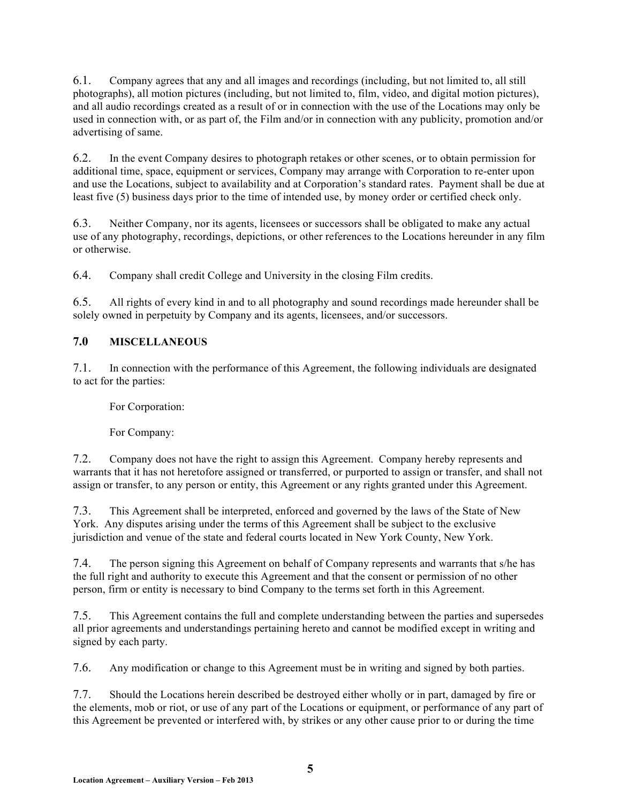6.1. Company agrees that any and all images and recordings (including, but not limited to, all still photographs), all motion pictures (including, but not limited to, film, video, and digital motion pictures), and all audio recordings created as a result of or in connection with the use of the Locations may only be used in connection with, or as part of, the Film and/or in connection with any publicity, promotion and/or advertising of same.

6.2. In the event Company desires to photograph retakes or other scenes, or to obtain permission for additional time, space, equipment or services, Company may arrange with Corporation to re-enter upon and use the Locations, subject to availability and at Corporation's standard rates. Payment shall be due at least five (5) business days prior to the time of intended use, by money order or certified check only.

6.3. Neither Company, nor its agents, licensees or successors shall be obligated to make any actual use of any photography, recordings, depictions, or other references to the Locations hereunder in any film or otherwise.

6.4. Company shall credit College and University in the closing Film credits.

6.5. All rights of every kind in and to all photography and sound recordings made hereunder shall be solely owned in perpetuity by Company and its agents, licensees, and/or successors.

### **7.0 MISCELLANEOUS**

7.1. In connection with the performance of this Agreement, the following individuals are designated to act for the parties:

For Corporation:

For Company:

7.2. Company does not have the right to assign this Agreement. Company hereby represents and warrants that it has not heretofore assigned or transferred, or purported to assign or transfer, and shall not assign or transfer, to any person or entity, this Agreement or any rights granted under this Agreement.

7.3. This Agreement shall be interpreted, enforced and governed by the laws of the State of New York. Any disputes arising under the terms of this Agreement shall be subject to the exclusive jurisdiction and venue of the state and federal courts located in New York County, New York.

7.4. The person signing this Agreement on behalf of Company represents and warrants that s/he has the full right and authority to execute this Agreement and that the consent or permission of no other person, firm or entity is necessary to bind Company to the terms set forth in this Agreement.

7.5. This Agreement contains the full and complete understanding between the parties and supersedes all prior agreements and understandings pertaining hereto and cannot be modified except in writing and signed by each party.

7.6. Any modification or change to this Agreement must be in writing and signed by both parties.

7.7. Should the Locations herein described be destroyed either wholly or in part, damaged by fire or the elements, mob or riot, or use of any part of the Locations or equipment, or performance of any part of this Agreement be prevented or interfered with, by strikes or any other cause prior to or during the time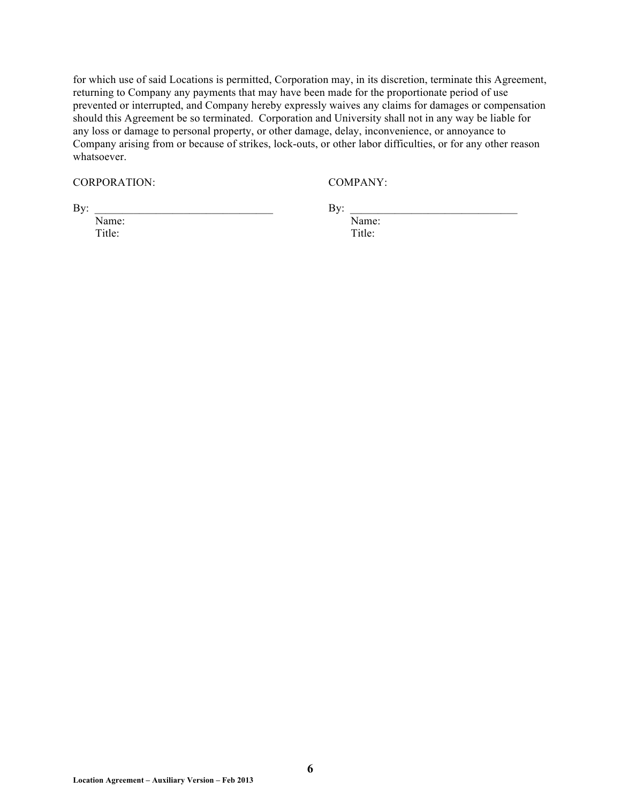for which use of said Locations is permitted, Corporation may, in its discretion, terminate this Agreement, returning to Company any payments that may have been made for the proportionate period of use prevented or interrupted, and Company hereby expressly waives any claims for damages or compensation should this Agreement be so terminated. Corporation and University shall not in any way be liable for any loss or damage to personal property, or other damage, delay, inconvenience, or annoyance to Company arising from or because of strikes, lock-outs, or other labor difficulties, or for any other reason whatsoever.

CORPORATION: COMPANY:

 $\mathbf{By:}$ 

Title: Title:

Name: Name: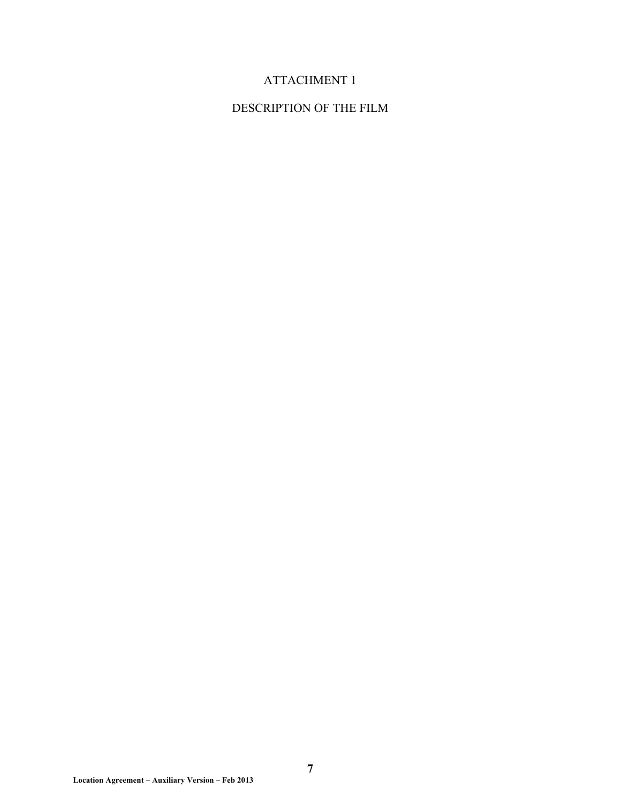# ATTACHMENT 1

## DESCRIPTION OF THE FILM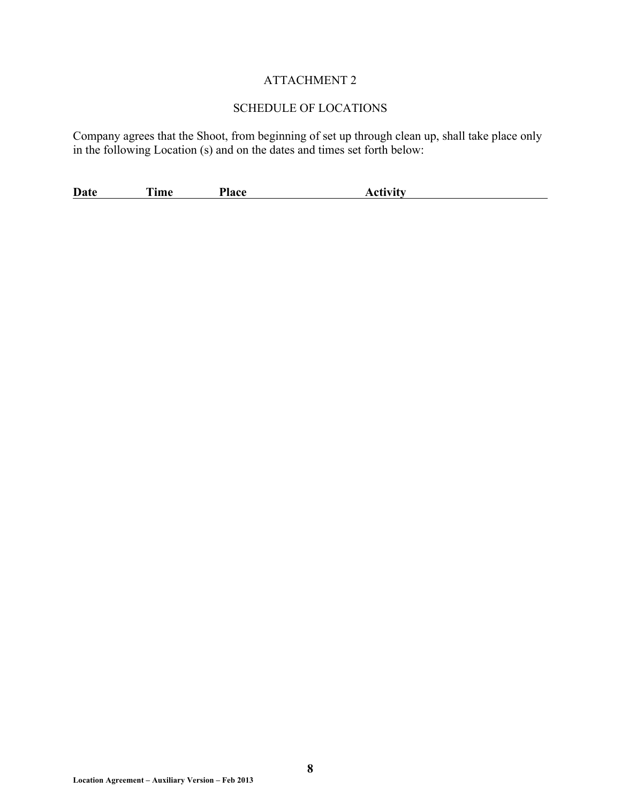## ATTACHMENT 2

## SCHEDULE OF LOCATIONS

Company agrees that the Shoot, from beginning of set up through clean up, shall take place only in the following Location (s) and on the dates and times set forth below:

**Date** Time Place Activity